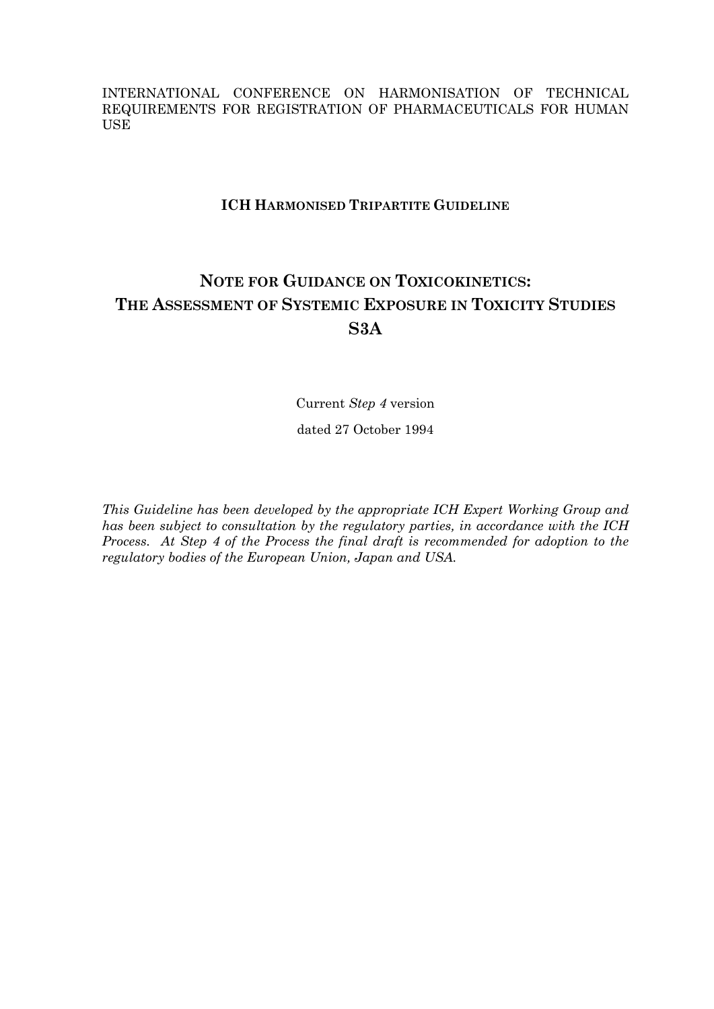INTERNATIONAL CONFERENCE ON HARMONISATION OF TECHNICAL REQUIREMENTS FOR REGISTRATION OF PHARMACEUTICALS FOR HUMAN USE

# **ICH HARMONISED TRIPARTITE GUIDELINE**

# **NOTE FOR GUIDANCE ON TOXICOKINETICS: THE ASSESSMENT OF SYSTEMIC EXPOSURE IN TOXICITY STUDIES S3A**

Current *Step 4* version

dated 27 October 1994

*This Guideline has been developed by the appropriate ICH Expert Working Group and has been subject to consultation by the regulatory parties, in accordance with the ICH Process. At Step 4 of the Process the final draft is recommended for adoption to the regulatory bodies of the European Union, Japan and USA.*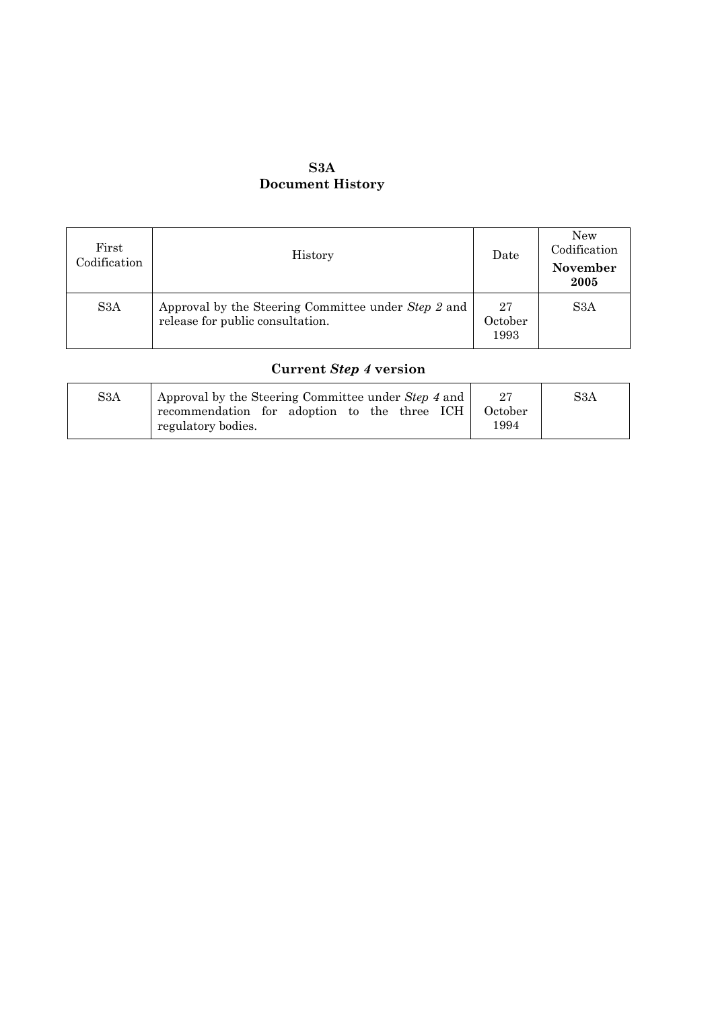# **S3A Document History**

| First<br>Codification | History                                                                                 | Date                  | New<br>Codification<br>November<br>2005 |
|-----------------------|-----------------------------------------------------------------------------------------|-----------------------|-----------------------------------------|
| S <sub>3</sub> A      | Approval by the Steering Committee under Step 2 and<br>release for public consultation. | 27<br>October<br>1993 | S <sub>3</sub> A                        |

# **Current** *Step 4* **version**

| S <sub>3</sub> A | Approval by the Steering Committee under Step 4 and |         | S <sub>3</sub> A |
|------------------|-----------------------------------------------------|---------|------------------|
|                  | recommendation for adoption to the three ICH        | October |                  |
|                  | regulatory bodies.                                  | 1994    |                  |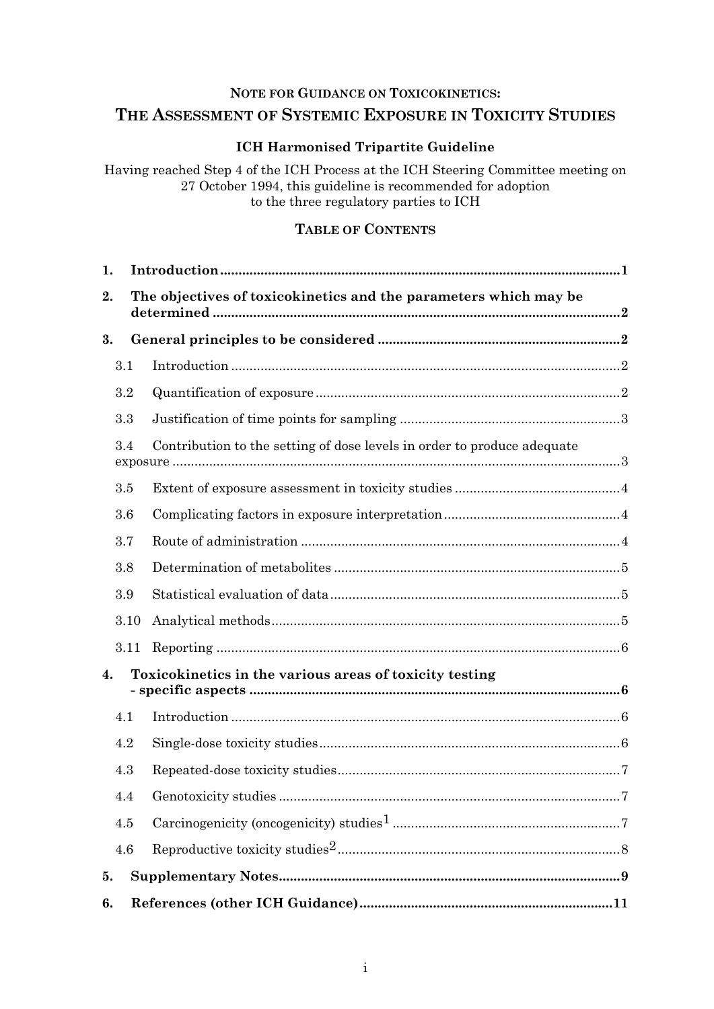# **NOTE FOR GUIDANCE ON TOXICOKINETICS:**

# **THE ASSESSMENT OF SYSTEMIC EXPOSURE IN TOXICITY STUDIES**

# **ICH Harmonised Tripartite Guideline**

Having reached Step 4 of the ICH Process at the ICH Steering Committee meeting on 27 October 1994, this guideline is recommended for adoption to the three regulatory parties to ICH

# **TABLE OF CONTENTS**

| 1.                                                                             |      |                                                                  |   |
|--------------------------------------------------------------------------------|------|------------------------------------------------------------------|---|
| 2.                                                                             |      | The objectives of toxicokinetics and the parameters which may be |   |
| 3.                                                                             |      |                                                                  |   |
|                                                                                | 3.1  |                                                                  |   |
|                                                                                | 3.2  |                                                                  |   |
|                                                                                | 3.3  |                                                                  |   |
| Contribution to the setting of dose levels in order to produce adequate<br>3.4 |      |                                                                  |   |
|                                                                                | 3.5  |                                                                  |   |
|                                                                                | 3.6  |                                                                  |   |
|                                                                                | 3.7  |                                                                  |   |
|                                                                                | 3.8  |                                                                  |   |
|                                                                                | 3.9  |                                                                  |   |
|                                                                                | 3.10 |                                                                  |   |
|                                                                                | 3.11 |                                                                  |   |
| Toxicokinetics in the various areas of toxicity testing<br>4.                  |      |                                                                  |   |
|                                                                                | 4.1  |                                                                  |   |
|                                                                                | 4.2  |                                                                  |   |
|                                                                                | 4.3  |                                                                  |   |
|                                                                                | 4.4  |                                                                  | 7 |
|                                                                                | 4.5  |                                                                  |   |
|                                                                                | 4.6  |                                                                  |   |
| 5.                                                                             |      |                                                                  |   |
| 6.                                                                             |      |                                                                  |   |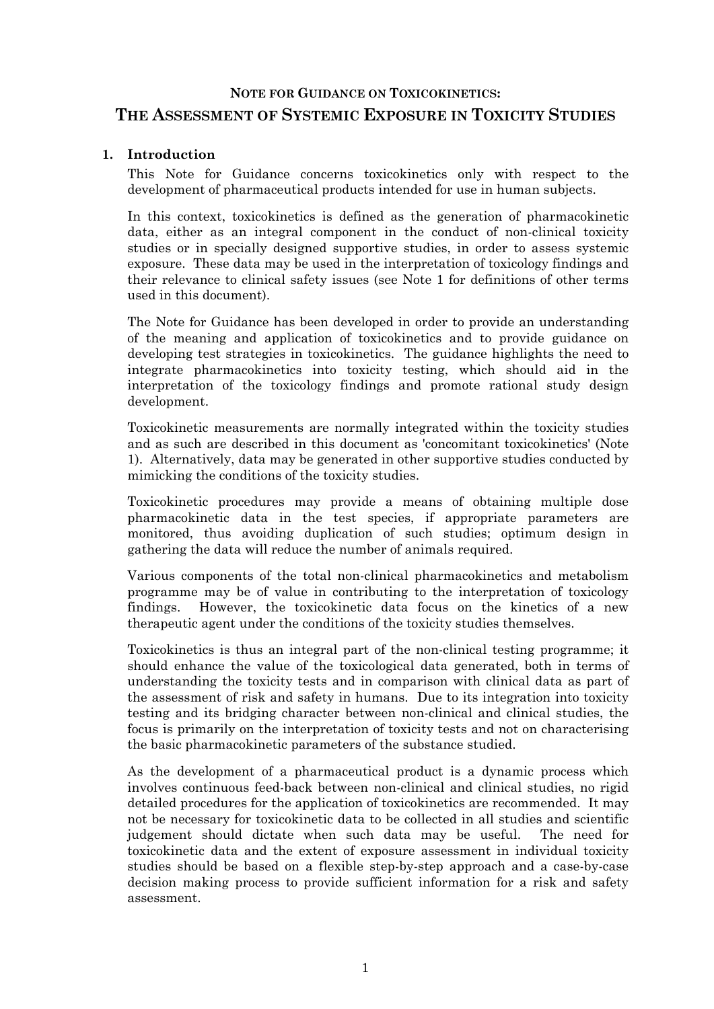#### **NOTE FOR GUIDANCE ON TOXICOKINETICS:**

# <span id="page-4-0"></span>**THE ASSESSMENT OF SYSTEMIC EXPOSURE IN TOXICITY STUDIES**

#### **1. Introduction**

This Note for Guidance concerns toxicokinetics only with respect to the development of pharmaceutical products intended for use in human subjects.

In this context, toxicokinetics is defined as the generation of pharmacokinetic data, either as an integral component in the conduct of non-clinical toxicity studies or in specially designed supportive studies, in order to assess systemic exposure. These data may be used in the interpretation of toxicology findings and their relevance to clinical safety issues (see Note 1 for definitions of other terms used in this document).

The Note for Guidance has been developed in order to provide an understanding of the meaning and application of toxicokinetics and to provide guidance on developing test strategies in toxicokinetics. The guidance highlights the need to integrate pharmacokinetics into toxicity testing, which should aid in the interpretation of the toxicology findings and promote rational study design development.

Toxicokinetic measurements are normally integrated within the toxicity studies and as such are described in this document as 'concomitant toxicokinetics' (Note 1). Alternatively, data may be generated in other supportive studies conducted by mimicking the conditions of the toxicity studies.

Toxicokinetic procedures may provide a means of obtaining multiple dose pharmacokinetic data in the test species, if appropriate parameters are monitored, thus avoiding duplication of such studies; optimum design in gathering the data will reduce the number of animals required.

Various components of the total non-clinical pharmacokinetics and metabolism programme may be of value in contributing to the interpretation of toxicology findings. However, the toxicokinetic data focus on the kinetics of a new therapeutic agent under the conditions of the toxicity studies themselves.

Toxicokinetics is thus an integral part of the non-clinical testing programme; it should enhance the value of the toxicological data generated, both in terms of understanding the toxicity tests and in comparison with clinical data as part of the assessment of risk and safety in humans. Due to its integration into toxicity testing and its bridging character between non-clinical and clinical studies, the focus is primarily on the interpretation of toxicity tests and not on characterising the basic pharmacokinetic parameters of the substance studied.

As the development of a pharmaceutical product is a dynamic process which involves continuous feed-back between non-clinical and clinical studies, no rigid detailed procedures for the application of toxicokinetics are recommended. It may not be necessary for toxicokinetic data to be collected in all studies and scientific judgement should dictate when such data may be useful. The need for toxicokinetic data and the extent of exposure assessment in individual toxicity studies should be based on a flexible step-by-step approach and a case-by-case decision making process to provide sufficient information for a risk and safety assessment.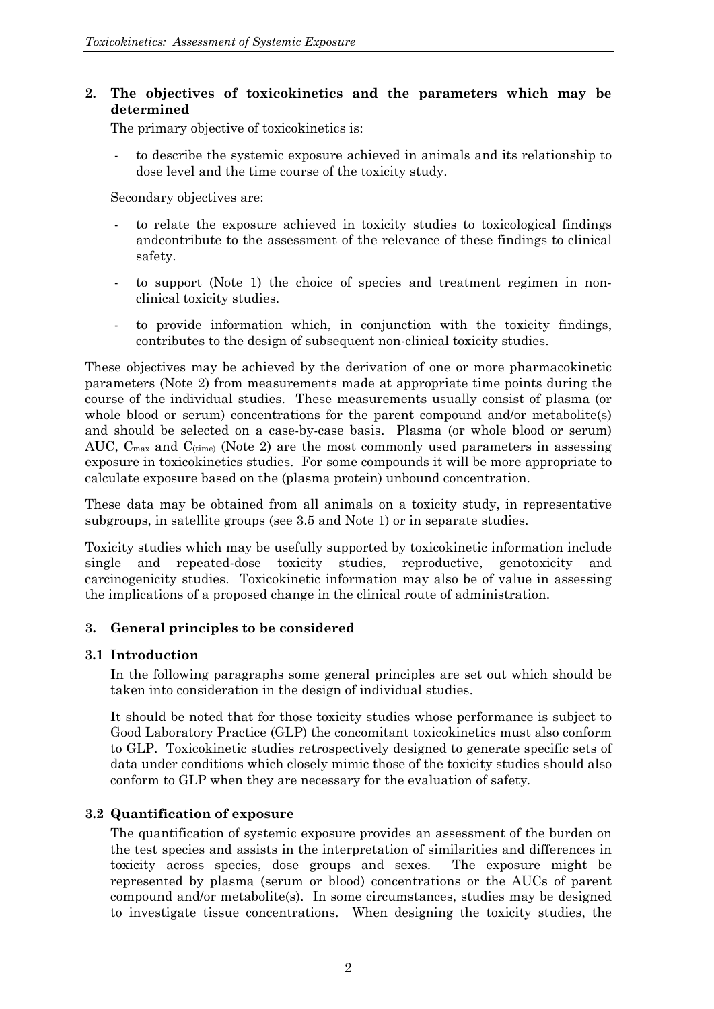# <span id="page-5-0"></span>**2. The objectives of toxicokinetics and the parameters which may be determined**

The primary objective of toxicokinetics is:

 - to describe the systemic exposure achieved in animals and its relationship to dose level and the time course of the toxicity study.

Secondary objectives are:

- to relate the exposure achieved in toxicity studies to toxicological findings andcontribute to the assessment of the relevance of these findings to clinical safety.
- to support (Note 1) the choice of species and treatment regimen in nonclinical toxicity studies.
- to provide information which, in conjunction with the toxicity findings, contributes to the design of subsequent non-clinical toxicity studies.

These objectives may be achieved by the derivation of one or more pharmacokinetic parameters (Note 2) from measurements made at appropriate time points during the course of the individual studies. These measurements usually consist of plasma (or whole blood or serum) concentrations for the parent compound and/or metabolite(s) and should be selected on a case-by-case basis. Plasma (or whole blood or serum) AUC,  $C_{\text{max}}$  and  $C_{\text{time}}$  (Note 2) are the most commonly used parameters in assessing exposure in toxicokinetics studies. For some compounds it will be more appropriate to calculate exposure based on the (plasma protein) unbound concentration.

These data may be obtained from all animals on a toxicity study, in representative subgroups, in satellite groups (see 3.5 and Note 1) or in separate studies.

Toxicity studies which may be usefully supported by toxicokinetic information include single and repeated-dose toxicity studies, reproductive, genotoxicity and carcinogenicity studies. Toxicokinetic information may also be of value in assessing the implications of a proposed change in the clinical route of administration.

# **3. General principles to be considered**

# **3.1 Introduction**

In the following paragraphs some general principles are set out which should be taken into consideration in the design of individual studies.

It should be noted that for those toxicity studies whose performance is subject to Good Laboratory Practice (GLP) the concomitant toxicokinetics must also conform to GLP. Toxicokinetic studies retrospectively designed to generate specific sets of data under conditions which closely mimic those of the toxicity studies should also conform to GLP when they are necessary for the evaluation of safety*.*

# **3.2 Quantification of exposure**

The quantification of systemic exposure provides an assessment of the burden on the test species and assists in the interpretation of similarities and differences in toxicity across species, dose groups and sexes. The exposure might be represented by plasma (serum or blood) concentrations or the AUCs of parent compound and/or metabolite(s). In some circumstances, studies may be designed to investigate tissue concentrations. When designing the toxicity studies, the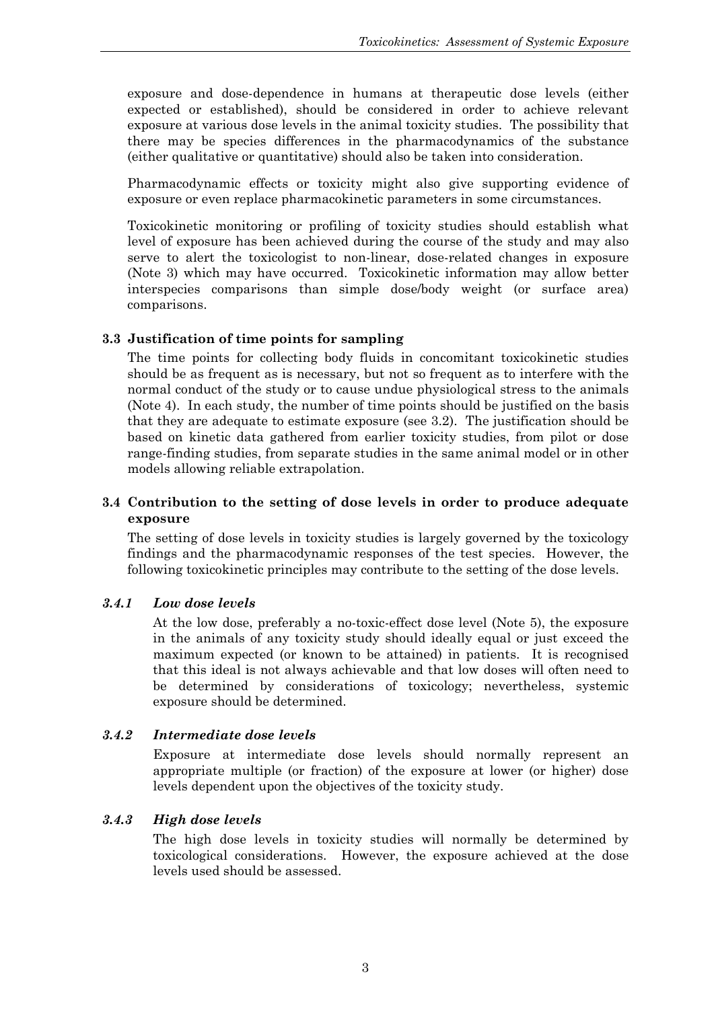<span id="page-6-0"></span>exposure and dose-dependence in humans at therapeutic dose levels (either expected or established), should be considered in order to achieve relevant exposure at various dose levels in the animal toxicity studies. The possibility that there may be species differences in the pharmacodynamics of the substance (either qualitative or quantitative) should also be taken into consideration.

Pharmacodynamic effects or toxicity might also give supporting evidence of exposure or even replace pharmacokinetic parameters in some circumstances.

Toxicokinetic monitoring or profiling of toxicity studies should establish what level of exposure has been achieved during the course of the study and may also serve to alert the toxicologist to non-linear, dose-related changes in exposure (Note 3) which may have occurred. Toxicokinetic information may allow better interspecies comparisons than simple dose/body weight (or surface area) comparisons.

# **3.3 Justification of time points for sampling**

The time points for collecting body fluids in concomitant toxicokinetic studies should be as frequent as is necessary, but not so frequent as to interfere with the normal conduct of the study or to cause undue physiological stress to the animals (Note 4). In each study, the number of time points should be justified on the basis that they are adequate to estimate exposure (see 3.2). The justification should be based on kinetic data gathered from earlier toxicity studies, from pilot or dose range-finding studies, from separate studies in the same animal model or in other models allowing reliable extrapolation.

# **3.4 Contribution to the setting of dose levels in order to produce adequate exposure**

The setting of dose levels in toxicity studies is largely governed by the toxicology findings and the pharmacodynamic responses of the test species. However, the following toxicokinetic principles may contribute to the setting of the dose levels.

#### *3.4.1 Low dose levels*

At the low dose, preferably a no-toxic-effect dose level (Note 5), the exposure in the animals of any toxicity study should ideally equal or just exceed the maximum expected (or known to be attained) in patients. It is recognised that this ideal is not always achievable and that low doses will often need to be determined by considerations of toxicology; nevertheless, systemic exposure should be determined.

#### *3.4.2 Intermediate dose levels*

Exposure at intermediate dose levels should normally represent an appropriate multiple (or fraction) of the exposure at lower (or higher) dose levels dependent upon the objectives of the toxicity study.

#### *3.4.3 High dose levels*

The high dose levels in toxicity studies will normally be determined by toxicological considerations. However, the exposure achieved at the dose levels used should be assessed.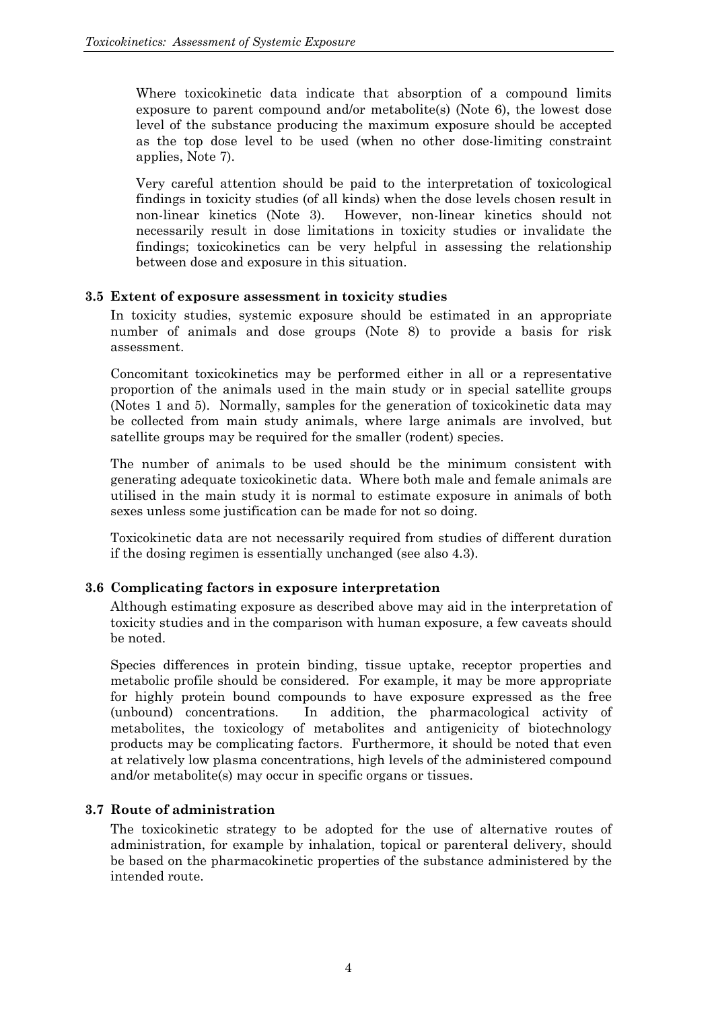<span id="page-7-0"></span>Where toxicokinetic data indicate that absorption of a compound limits exposure to parent compound and/or metabolite(s) (Note 6), the lowest dose level of the substance producing the maximum exposure should be accepted as the top dose level to be used (when no other dose-limiting constraint applies, Note 7).

Very careful attention should be paid to the interpretation of toxicological findings in toxicity studies (of all kinds) when the dose levels chosen result in non-linear kinetics (Note 3). However, non-linear kinetics should not necessarily result in dose limitations in toxicity studies or invalidate the findings; toxicokinetics can be very helpful in assessing the relationship between dose and exposure in this situation.

# **3.5 Extent of exposure assessment in toxicity studies**

In toxicity studies, systemic exposure should be estimated in an appropriate number of animals and dose groups (Note 8) to provide a basis for risk assessment.

Concomitant toxicokinetics may be performed either in all or a representative proportion of the animals used in the main study or in special satellite groups (Notes 1 and 5). Normally, samples for the generation of toxicokinetic data may be collected from main study animals, where large animals are involved, but satellite groups may be required for the smaller (rodent) species.

The number of animals to be used should be the minimum consistent with generating adequate toxicokinetic data. Where both male and female animals are utilised in the main study it is normal to estimate exposure in animals of both sexes unless some justification can be made for not so doing.

Toxicokinetic data are not necessarily required from studies of different duration if the dosing regimen is essentially unchanged (see also 4.3).

#### **3.6 Complicating factors in exposure interpretation**

Although estimating exposure as described above may aid in the interpretation of toxicity studies and in the comparison with human exposure, a few caveats should be noted.

Species differences in protein binding, tissue uptake, receptor properties and metabolic profile should be considered. For example, it may be more appropriate for highly protein bound compounds to have exposure expressed as the free (unbound) concentrations. In addition, the pharmacological activity of metabolites, the toxicology of metabolites and antigenicity of biotechnology products may be complicating factors. Furthermore, it should be noted that even at relatively low plasma concentrations, high levels of the administered compound and/or metabolite(s) may occur in specific organs or tissues.

#### **3.7 Route of administration**

The toxicokinetic strategy to be adopted for the use of alternative routes of administration, for example by inhalation, topical or parenteral delivery, should be based on the pharmacokinetic properties of the substance administered by the intended route.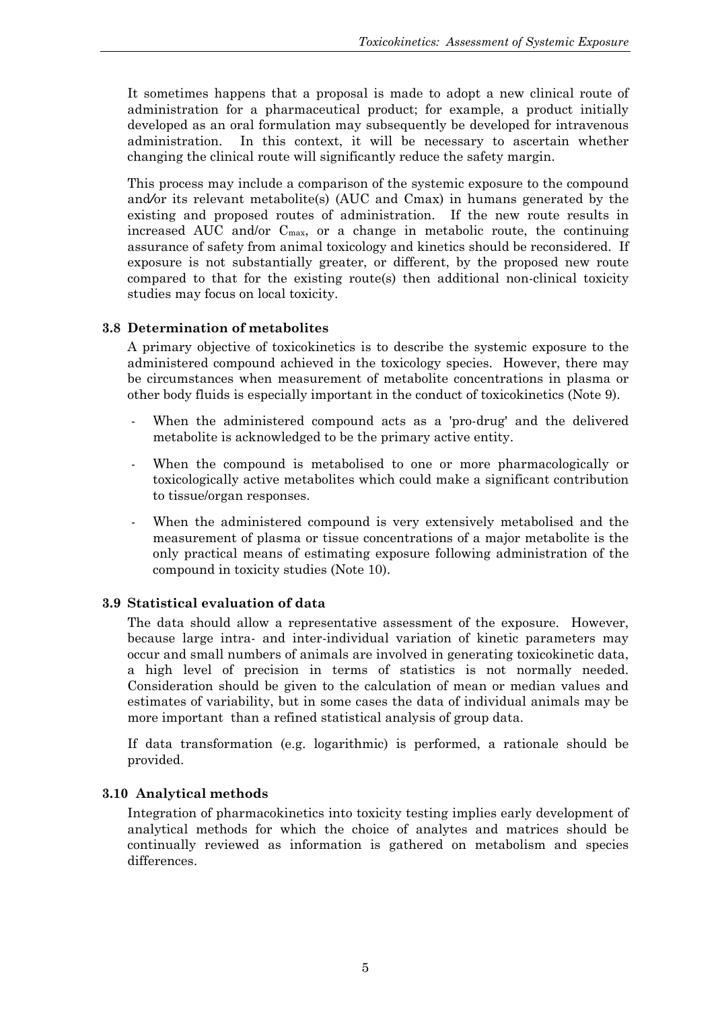<span id="page-8-0"></span>It sometimes happens that a proposal is made to adopt a new clinical route of administration for a pharmaceutical product; for example, a product initially developed as an oral formulation may subsequently be developed for intravenous administration. In this context, it will be necessary to ascertain whether changing the clinical route will significantly reduce the safety margin.

This process may include a comparison of the systemic exposure to the compound and*/*or its relevant metabolite(s) (AUC and Cmax) in humans generated by the existing and proposed routes of administration. If the new route results in increased AUC and/or Cmax, or a change in metabolic route, the continuing assurance of safety from animal toxicology and kinetics should be reconsidered. If exposure is not substantially greater, or different, by the proposed new route compared to that for the existing route(s) then additional non-clinical toxicity studies may focus on local toxicity.

# **3.8 Determination of metabolites**

A primary objective of toxicokinetics is to describe the systemic exposure to the administered compound achieved in the toxicology species. However, there may be circumstances when measurement of metabolite concentrations in plasma or other body fluids is especially important in the conduct of toxicokinetics (Note 9).

- When the administered compound acts as a 'pro-drug' and the delivered metabolite is acknowledged to be the primary active entity.
- When the compound is metabolised to one or more pharmacologically or toxicologically active metabolites which could make a significant contribution to tissue/organ responses.
- When the administered compound is very extensively metabolised and the measurement of plasma or tissue concentrations of a major metabolite is the only practical means of estimating exposure following administration of the compound in toxicity studies (Note 10).

#### **3.9 Statistical evaluation of data**

The data should allow a representative assessment of the exposure. However, because large intra- and inter-individual variation of kinetic parameters may occur and small numbers of animals are involved in generating toxicokinetic data, a high level of precision in terms of statistics is not normally needed. Consideration should be given to the calculation of mean or median values and estimates of variability, but in some cases the data of individual animals may be more important than a refined statistical analysis of group data.

If data transformation (e.g. logarithmic) is performed, a rationale should be provided.

#### **3.10 Analytical methods**

Integration of pharmacokinetics into toxicity testing implies early development of analytical methods for which the choice of analytes and matrices should be continually reviewed as information is gathered on metabolism and species differences.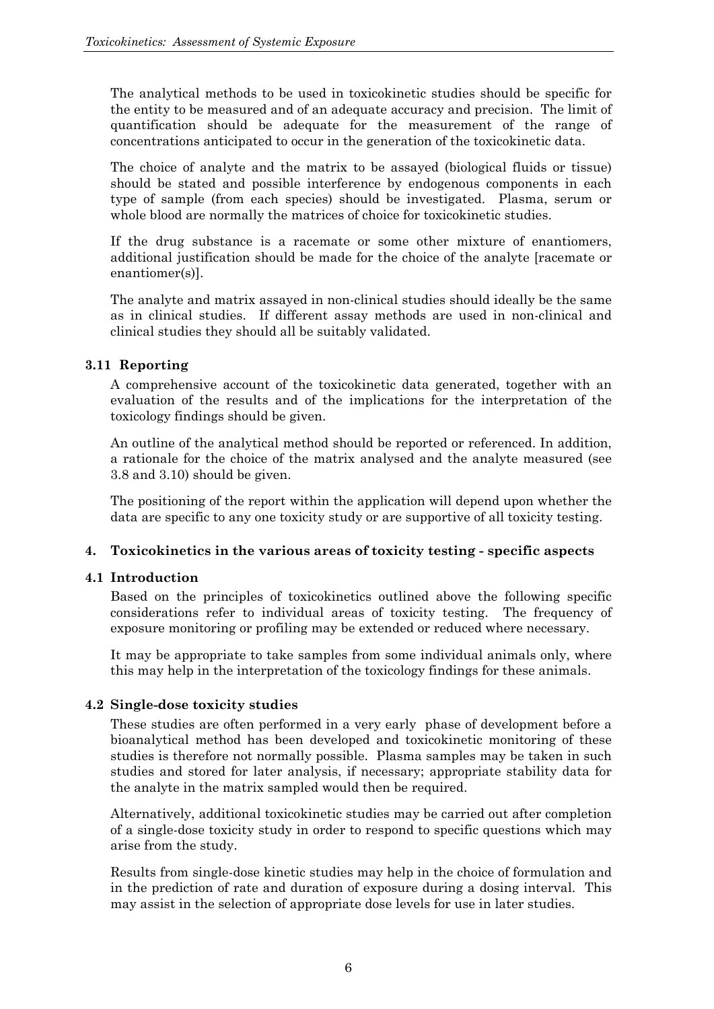<span id="page-9-0"></span>The analytical methods to be used in toxicokinetic studies should be specific for the entity to be measured and of an adequate accuracy and precision. The limit of quantification should be adequate for the measurement of the range of concentrations anticipated to occur in the generation of the toxicokinetic data.

The choice of analyte and the matrix to be assayed (biological fluids or tissue) should be stated and possible interference by endogenous components in each type of sample (from each species) should be investigated. Plasma, serum or whole blood are normally the matrices of choice for toxicokinetic studies.

If the drug substance is a racemate or some other mixture of enantiomers, additional justification should be made for the choice of the analyte [racemate or enantiomer(s)].

The analyte and matrix assayed in non-clinical studies should ideally be the same as in clinical studies. If different assay methods are used in non-clinical and clinical studies they should all be suitably validated.

#### **3.11 Reporting**

A comprehensive account of the toxicokinetic data generated, together with an evaluation of the results and of the implications for the interpretation of the toxicology findings should be given.

An outline of the analytical method should be reported or referenced. In addition, a rationale for the choice of the matrix analysed and the analyte measured (see 3.8 and 3.10) should be given.

The positioning of the report within the application will depend upon whether the data are specific to any one toxicity study or are supportive of all toxicity testing.

#### **4. Toxicokinetics in the various areas of toxicity testing - specific aspects**

#### **4.1 Introduction**

Based on the principles of toxicokinetics outlined above the following specific considerations refer to individual areas of toxicity testing. The frequency of exposure monitoring or profiling may be extended or reduced where necessary.

It may be appropriate to take samples from some individual animals only, where this may help in the interpretation of the toxicology findings for these animals.

#### **4.2 Single-dose toxicity studies**

These studies are often performed in a very early phase of development before a bioanalytical method has been developed and toxicokinetic monitoring of these studies is therefore not normally possible. Plasma samples may be taken in such studies and stored for later analysis, if necessary; appropriate stability data for the analyte in the matrix sampled would then be required.

Alternatively, additional toxicokinetic studies may be carried out after completion of a single-dose toxicity study in order to respond to specific questions which may arise from the study.

Results from single-dose kinetic studies may help in the choice of formulation and in the prediction of rate and duration of exposure during a dosing interval. This may assist in the selection of appropriate dose levels for use in later studies.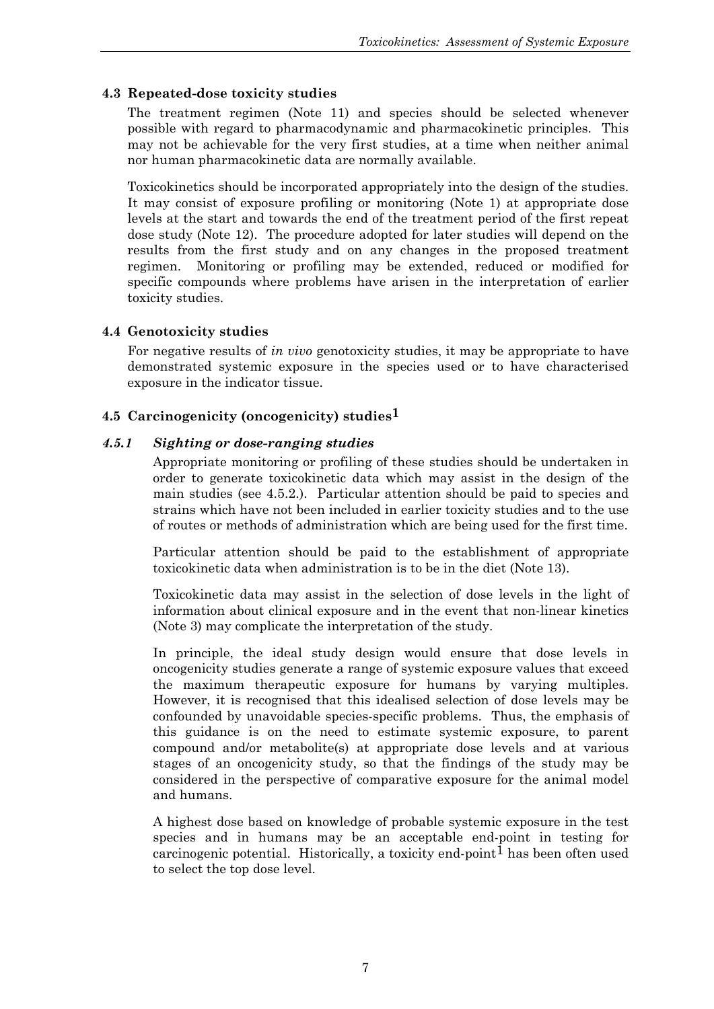# <span id="page-10-0"></span>**4.3 Repeated-dose toxicity studies**

The treatment regimen (Note 11) and species should be selected whenever possible with regard to pharmacodynamic and pharmacokinetic principles. This may not be achievable for the very first studies, at a time when neither animal nor human pharmacokinetic data are normally available.

Toxicokinetics should be incorporated appropriately into the design of the studies. It may consist of exposure profiling or monitoring (Note 1) at appropriate dose levels at the start and towards the end of the treatment period of the first repeat dose study (Note 12). The procedure adopted for later studies will depend on the results from the first study and on any changes in the proposed treatment regimen. Monitoring or profiling may be extended, reduced or modified for specific compounds where problems have arisen in the interpretation of earlier toxicity studies.

# **4.4 Genotoxicity studies**

For negative results of *in vivo* genotoxicity studies, it may be appropriate to have demonstrated systemic exposure in the species used or to have characterised exposure in the indicator tissue.

# **4.5 Carcinogenicity (oncogenicity) studies1**

# *4.5.1 Sighting or dose-ranging studies*

Appropriate monitoring or profiling of these studies should be undertaken in order to generate toxicokinetic data which may assist in the design of the main studies (see 4.5.2.). Particular attention should be paid to species and strains which have not been included in earlier toxicity studies and to the use of routes or methods of administration which are being used for the first time.

Particular attention should be paid to the establishment of appropriate toxicokinetic data when administration is to be in the diet (Note 13).

Toxicokinetic data may assist in the selection of dose levels in the light of information about clinical exposure and in the event that non-linear kinetics (Note 3) may complicate the interpretation of the study.

In principle, the ideal study design would ensure that dose levels in oncogenicity studies generate a range of systemic exposure values that exceed the maximum therapeutic exposure for humans by varying multiples. However, it is recognised that this idealised selection of dose levels may be confounded by unavoidable species-specific problems. Thus, the emphasis of this guidance is on the need to estimate systemic exposure, to parent compound and/or metabolite(s) at appropriate dose levels and at various stages of an oncogenicity study, so that the findings of the study may be considered in the perspective of comparative exposure for the animal model and humans.

A highest dose based on knowledge of probable systemic exposure in the test species and in humans may be an acceptable end-point in testing for carcinogenic potential. Historically, a toxicity end-point<sup>1</sup> has been often used to select the top dose level.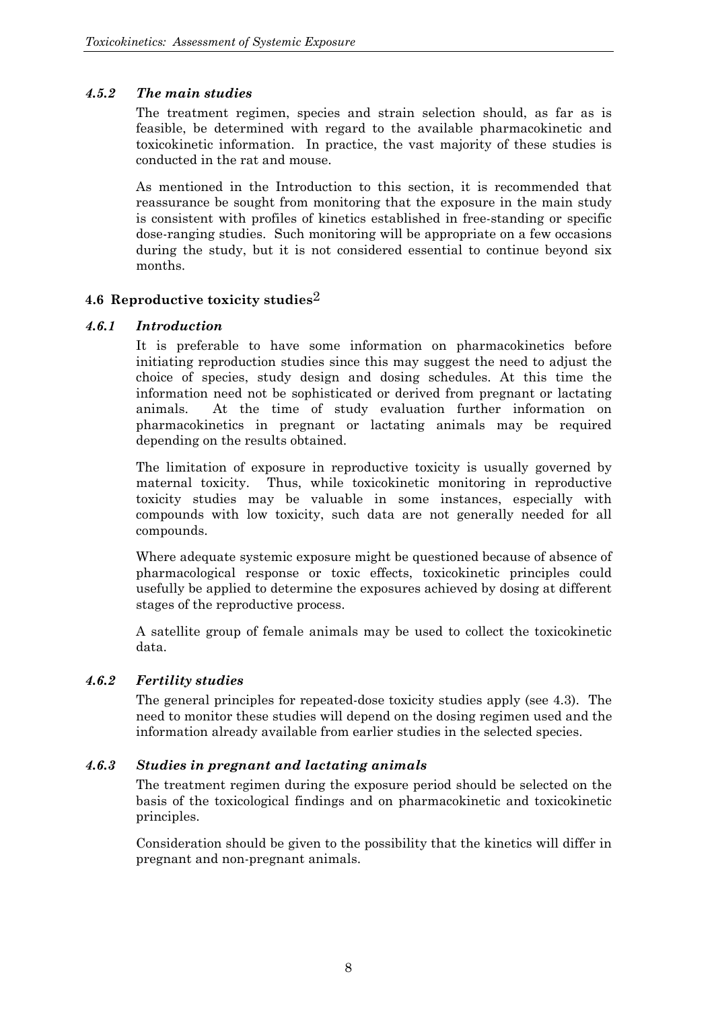# <span id="page-11-0"></span>*4.5.2 The main studies*

The treatment regimen, species and strain selection should, as far as is feasible, be determined with regard to the available pharmacokinetic and toxicokinetic information. In practice, the vast majority of these studies is conducted in the rat and mouse.

As mentioned in the Introduction to this section, it is recommended that reassurance be sought from monitoring that the exposure in the main study is consistent with profiles of kinetics established in free-standing or specific dose-ranging studies. Such monitoring will be appropriate on a few occasions during the study, but it is not considered essential to continue beyond six months.

# **4.6 Reproductive toxicity studies**2

#### *4.6.1 Introduction*

It is preferable to have some information on pharmacokinetics before initiating reproduction studies since this may suggest the need to adjust the choice of species, study design and dosing schedules. At this time the information need not be sophisticated or derived from pregnant or lactating animals. At the time of study evaluation further information on pharmacokinetics in pregnant or lactating animals may be required depending on the results obtained.

The limitation of exposure in reproductive toxicity is usually governed by maternal toxicity. Thus, while toxicokinetic monitoring in reproductive toxicity studies may be valuable in some instances, especially with compounds with low toxicity, such data are not generally needed for all compounds.

Where adequate systemic exposure might be questioned because of absence of pharmacological response or toxic effects, toxicokinetic principles could usefully be applied to determine the exposures achieved by dosing at different stages of the reproductive process.

A satellite group of female animals may be used to collect the toxicokinetic data.

#### *4.6.2 Fertility studies*

The general principles for repeated-dose toxicity studies apply (see 4.3). The need to monitor these studies will depend on the dosing regimen used and the information already available from earlier studies in the selected species.

#### *4.6.3 Studies in pregnant and lactating animals*

The treatment regimen during the exposure period should be selected on the basis of the toxicological findings and on pharmacokinetic and toxicokinetic principles.

Consideration should be given to the possibility that the kinetics will differ in pregnant and non-pregnant animals.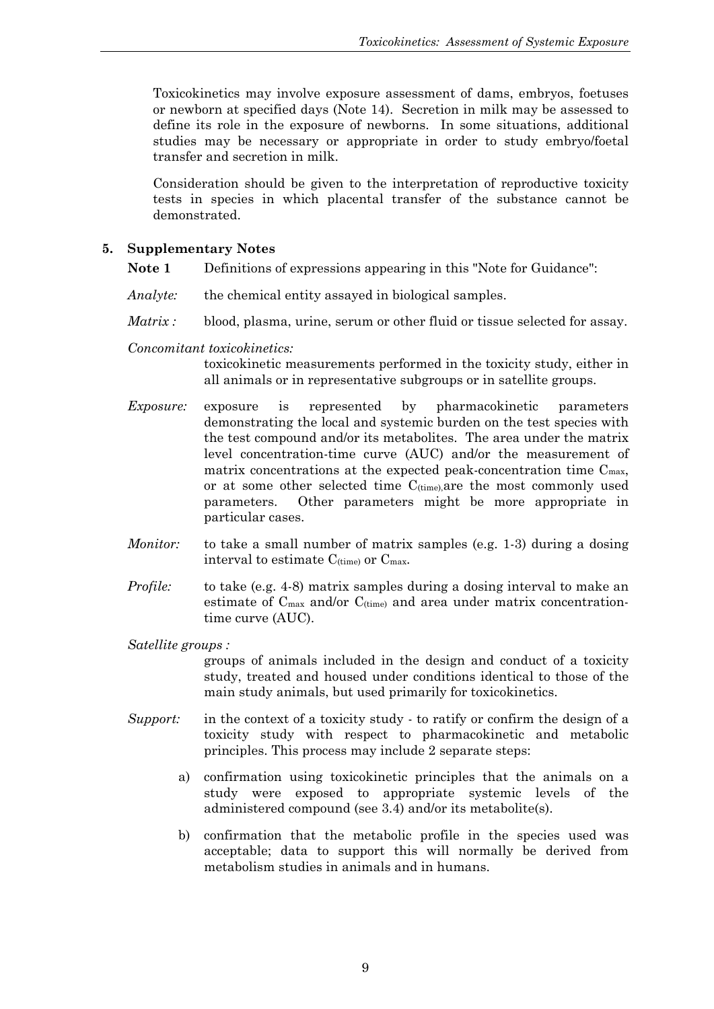<span id="page-12-0"></span>Toxicokinetics may involve exposure assessment of dams, embryos, foetuses or newborn at specified days (Note 14). Secretion in milk may be assessed to define its role in the exposure of newborns. In some situations, additional studies may be necessary or appropriate in order to study embryo/foetal transfer and secretion in milk.

Consideration should be given to the interpretation of reproductive toxicity tests in species in which placental transfer of the substance cannot be demonstrated.

# **5. Supplementary Notes**

Note 1 Definitions of expressions appearing in this "Note for Guidance":

- *Analyte:* the chemical entity assayed in biological samples.
- *Matrix :* blood, plasma, urine, serum or other fluid or tissue selected for assay.

#### *Concomitant toxicokinetics:*

 toxicokinetic measurements performed in the toxicity study, either in all animals or in representative subgroups or in satellite groups.

- *Exposure:* exposure is represented by pharmacokinetic parameters demonstrating the local and systemic burden on the test species with the test compound and/or its metabolites. The area under the matrix level concentration-time curve (AUC) and/or the measurement of matrix concentrations at the expected peak-concentration time  $C_{\text{max}}$ , or at some other selected time  $C_{(time),}$  are the most commonly used parameters. Other parameters might be more appropriate in particular cases.
- *Monitor*: to take a small number of matrix samples (e.g. 1-3) during a dosing interval to estimate  $C_{(time)}$  or  $C_{max}$ .
- *Profile:* to take (e.g. 4-8) matrix samples during a dosing interval to make an estimate of  $C_{\text{max}}$  and/or  $C_{\text{(time)}}$  and area under matrix concentrationtime curve (AUC).

*Satellite groups :*

groups of animals included in the design and conduct of a toxicity study, treated and housed under conditions identical to those of the main study animals, but used primarily for toxicokinetics.

- *Support:* in the context of a toxicity study to ratify or confirm the design of a toxicity study with respect to pharmacokinetic and metabolic principles. This process may include 2 separate steps:
	- a) confirmation using toxicokinetic principles that the animals on a study were exposed to appropriate systemic levels of the administered compound (see 3.4) and/or its metabolite(s).
	- b) confirmation that the metabolic profile in the species used was acceptable; data to support this will normally be derived from metabolism studies in animals and in humans.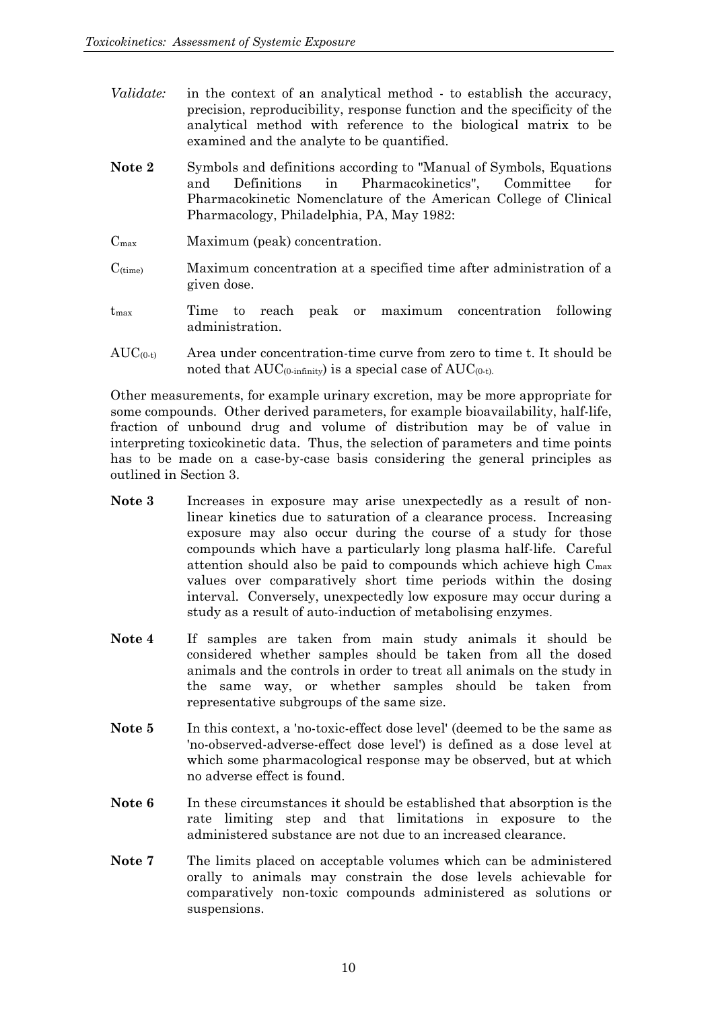| Validate:     | in the context of an analytical method - to establish the accuracy,<br>precision, reproducibility, response function and the specificity of the<br>analytical method with reference to the biological matrix to be<br>examined and the analyte to be quantified. |  |
|---------------|------------------------------------------------------------------------------------------------------------------------------------------------------------------------------------------------------------------------------------------------------------------|--|
| Note 2        | Symbols and definitions according to "Manual of Symbols, Equations"<br>Definitions in<br>Pharmacokinetics", Committee<br>for<br>and<br>Pharmacokinetic Nomenclature of the American College of Clinical<br>Pharmacology, Philadelphia, PA, May 1982:             |  |
| $C_{\rm max}$ | Maximum (peak) concentration.                                                                                                                                                                                                                                    |  |
| $C_{(time)}$  | Maximum concentration at a specified time after administration of a<br>given dose.                                                                                                                                                                               |  |
| $t_{\rm max}$ | Time to reach peak or maximum concentration following<br>administration.                                                                                                                                                                                         |  |
| $AUC(0-t)$    | Area under concentration-time curve from zero to time t. It should be<br>noted that $AUC_{(0\text{-infinity})}$ is a special case of $AUC_{(0\text{-t})}$ .                                                                                                      |  |

Other measurements, for example urinary excretion, may be more appropriate for some compounds. Other derived parameters, for example bioavailability, half-life, fraction of unbound drug and volume of distribution may be of value in interpreting toxicokinetic data. Thus, the selection of parameters and time points has to be made on a case-by-case basis considering the general principles as outlined in Section 3.

- **Note 3** Increases in exposure may arise unexpectedly as a result of nonlinear kinetics due to saturation of a clearance process. Increasing exposure may also occur during the course of a study for those compounds which have a particularly long plasma half-life. Careful attention should also be paid to compounds which achieve high  $C_{\text{max}}$ values over comparatively short time periods within the dosing interval. Conversely, unexpectedly low exposure may occur during a study as a result of auto-induction of metabolising enzymes.
- **Note 4** If samples are taken from main study animals it should be considered whether samples should be taken from all the dosed animals and the controls in order to treat all animals on the study in the same way, or whether samples should be taken from representative subgroups of the same size.
- **Note 5** In this context, a 'no-toxic-effect dose level' (deemed to be the same as 'no-observed-adverse-effect dose level') is defined as a dose level at which some pharmacological response may be observed, but at which no adverse effect is found.
- **Note 6** In these circumstances it should be established that absorption is the rate limiting step and that limitations in exposure to the administered substance are not due to an increased clearance.
- **Note 7** The limits placed on acceptable volumes which can be administered orally to animals may constrain the dose levels achievable for comparatively non-toxic compounds administered as solutions or suspensions.